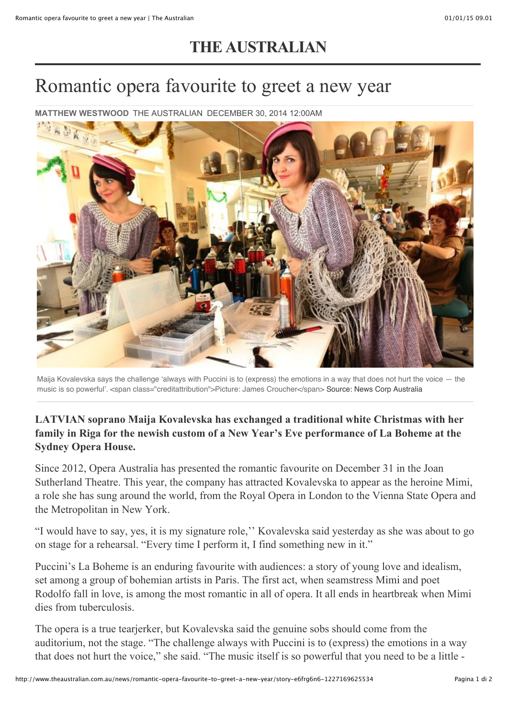## **[THE AUSTRALIAN](http://www.theaustralian.com.au/)**

## Romantic opera favourite to greet a new year

**MATTHEW WESTWOOD** [THE AUSTRALIAN](http://www.theaustralian.com.au/) DECEMBER 30, 2014 12:00AM



Maija Kovalevska says the challenge ʻalways with Puccini is to (express) the emotions in a way that does not hurt the voice — the music is so powerful'. <span class="creditattribution">Picture: James Croucher</span> Source: News Corp Australia

## **LATVIAN soprano Maija Kovalevska has exchanged a traditional white Christmas with her family in Riga for the newish custom of a New Year's Eve performance of La Boheme at the Sydney Opera House.**

Since 2012, Opera Australia has presented the romantic favourite on December 31 in the Joan Sutherland Theatre. This year, the company has attracted Kovalevska to appear as the heroine Mimi, a role she has sung around the world, from the Royal Opera in London to the Vienna State Opera and the Metropolitan in New York.

"I would have to say, yes, it is my signature role,'' Kovalevska said yesterday as she was about to go on stage for a rehearsal. "Every time I perform it, I find something new in it."

Puccini's La Boheme is an enduring favourite with audiences: a story of young love and idealism, set among a group of bohemian artists in Paris. The first act, when seamstress Mimi and poet Rodolfo fall in love, is among the most romantic in all of opera. It all ends in heartbreak when Mimi dies from tuberculosis.

The opera is a true tearjerker, but Kovalevska said the genuine sobs should come from the auditorium, not the stage. "The challenge always with Puccini is to (express) the emotions in a way that does not hurt the voice," she said. "The music itself is so powerful that you need to be a little -